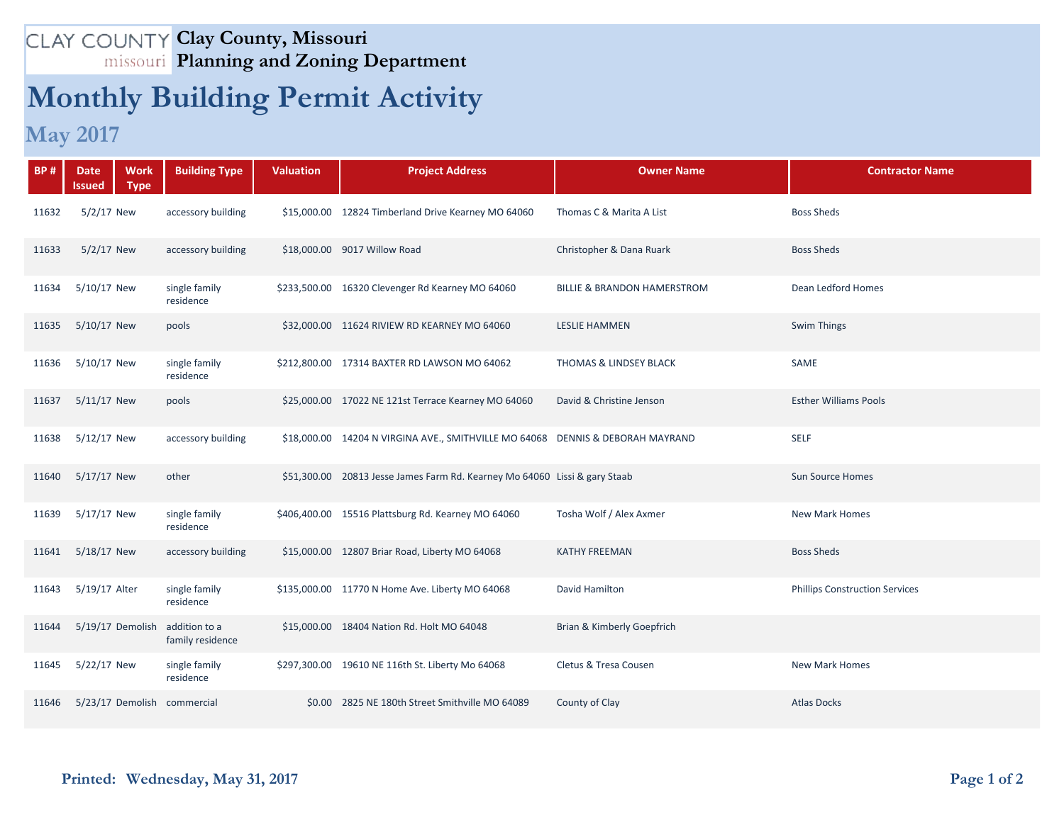## **Clay County, Missouri Planning and Zoning Department**

## **Monthly Building Permit Activity**

## **May 2017**

| <b>BP#</b> | <b>Work</b><br><b>Date</b><br><b>Type</b><br><b>Issued</b> | <b>Building Type</b>              | <b>Valuation</b> | <b>Project Address</b>                                                         | <b>Owner Name</b>                 | <b>Contractor Name</b>                |
|------------|------------------------------------------------------------|-----------------------------------|------------------|--------------------------------------------------------------------------------|-----------------------------------|---------------------------------------|
| 11632      | 5/2/17 New                                                 | accessory building                |                  | \$15,000.00 12824 Timberland Drive Kearney MO 64060                            | Thomas C & Marita A List          | <b>Boss Sheds</b>                     |
| 11633      | 5/2/17 New                                                 | accessory building                |                  | \$18,000.00 9017 Willow Road                                                   | Christopher & Dana Ruark          | <b>Boss Sheds</b>                     |
| 11634      | 5/10/17 New                                                | single family<br>residence        |                  | \$233,500.00 16320 Clevenger Rd Kearney MO 64060                               | BILLIE & BRANDON HAMERSTROM       | Dean Ledford Homes                    |
| 11635      | 5/10/17 New                                                | pools                             |                  | \$32,000.00 11624 RIVIEW RD KEARNEY MO 64060                                   | <b>LESLIE HAMMEN</b>              | Swim Things                           |
| 11636      | 5/10/17 New                                                | single family<br>residence        |                  | \$212,800.00 17314 BAXTER RD LAWSON MO 64062                                   | <b>THOMAS &amp; LINDSEY BLACK</b> | SAME                                  |
| 11637      | 5/11/17 New                                                | pools                             |                  | \$25,000.00 17022 NE 121st Terrace Kearney MO 64060                            | David & Christine Jenson          | <b>Esther Williams Pools</b>          |
| 11638      | 5/12/17 New                                                | accessory building                |                  | \$18,000.00 14204 N VIRGINA AVE., SMITHVILLE MO 64068 DENNIS & DEBORAH MAYRAND |                                   | <b>SELF</b>                           |
| 11640      | 5/17/17 New                                                | other                             |                  | \$51,300.00 20813 Jesse James Farm Rd. Kearney Mo 64060 Lissi & gary Staab     |                                   | <b>Sun Source Homes</b>               |
| 11639      | 5/17/17 New                                                | single family<br>residence        |                  | \$406,400.00 15516 Plattsburg Rd. Kearney MO 64060                             | Tosha Wolf / Alex Axmer           | <b>New Mark Homes</b>                 |
| 11641      | 5/18/17 New                                                | accessory building                |                  | \$15,000.00 12807 Briar Road, Liberty MO 64068                                 | <b>KATHY FREEMAN</b>              | <b>Boss Sheds</b>                     |
| 11643      | 5/19/17 Alter                                              | single family<br>residence        |                  | \$135,000.00 11770 N Home Ave. Liberty MO 64068                                | David Hamilton                    | <b>Phillips Construction Services</b> |
| 11644      | 5/19/17 Demolish                                           | addition to a<br>family residence |                  | \$15,000.00 18404 Nation Rd. Holt MO 64048                                     | Brian & Kimberly Goepfrich        |                                       |
| 11645      | 5/22/17 New                                                | single family<br>residence        |                  | \$297,300.00 19610 NE 116th St. Liberty Mo 64068                               | Cletus & Tresa Cousen             | <b>New Mark Homes</b>                 |
| 11646      | 5/23/17 Demolish commercial                                |                                   |                  | \$0.00 2825 NE 180th Street Smithville MO 64089                                | County of Clay                    | <b>Atlas Docks</b>                    |